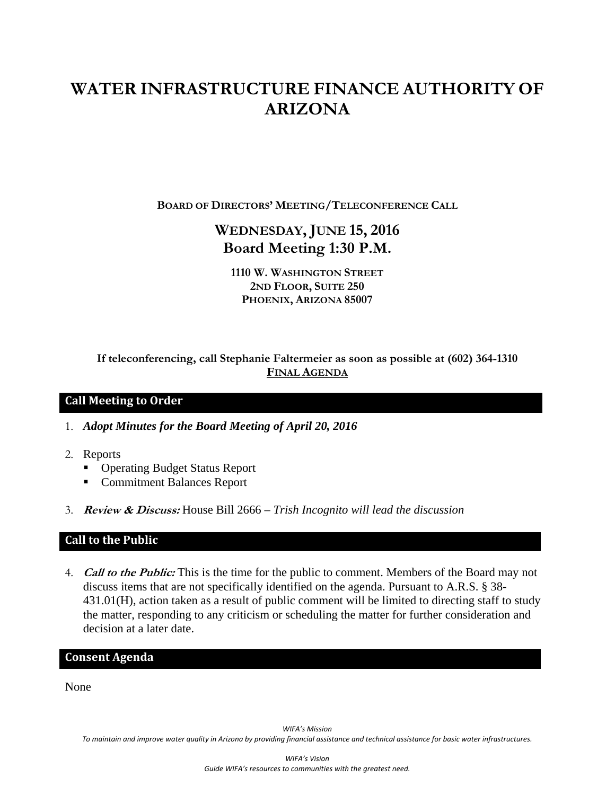# **WATER INFRASTRUCTURE FINANCE AUTHORITY OF ARIZONA**

**BOARD OF DIRECTORS' MEETING/TELECONFERENCE CALL**

# **WEDNESDAY, JUNE 15, 2016 Board Meeting 1:30 P.M.**

**1110 W. WASHINGTON STREET 2ND FLOOR, SUITE 250 PHOENIX, ARIZONA 85007** 

**If teleconferencing, call Stephanie Faltermeier as soon as possible at (602) 364-1310 FINAL AGENDA**

### **Call Meeting to Order**

1. *Adopt Minutes for the Board Meeting of April 20, 2016* 

- 2. Reports
	- Operating Budget Status Report
	- **Commitment Balances Report**
- 3. **Review & Discuss:** House Bill 2666 *Trish Incognito will lead the discussion*

### **Call to the Public**

4. **Call to the Public:** This is the time for the public to comment. Members of the Board may not discuss items that are not specifically identified on the agenda. Pursuant to A.R.S. § 38- 431.01(H), action taken as a result of public comment will be limited to directing staff to study the matter, responding to any criticism or scheduling the matter for further consideration and decision at a later date.

## **Consent Agenda**

None

*WIFA's Mission* To maintain and improve water quality in Arizona by providing financial assistance and technical assistance for basic water infrastructures.